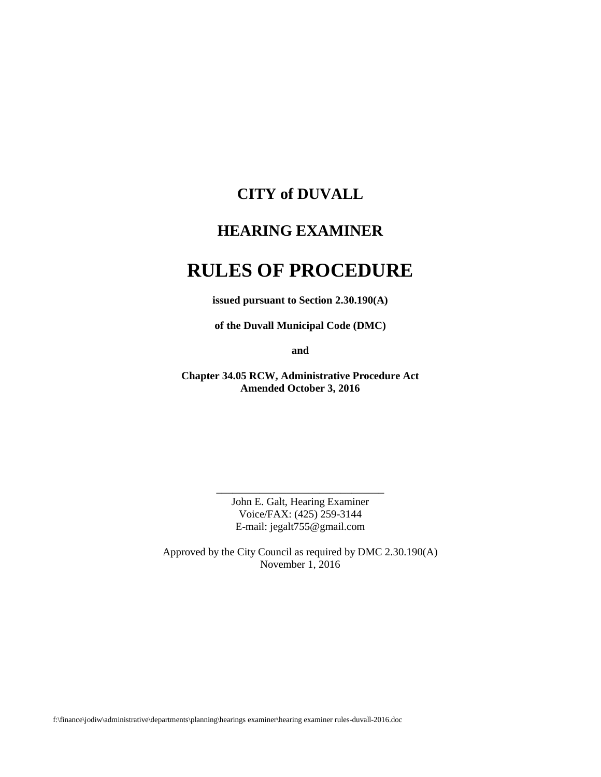# **CITY of DUVALL**

# **HEARING EXAMINER**

# **RULES OF PROCEDURE**

**issued pursuant to Section 2.30.190(A)**

**of the Duvall Municipal Code (DMC)**

**and**

**Chapter 34.05 RCW, Administrative Procedure Act Amended October 3, 2016**

> John E. Galt, Hearing Examiner Voice/FAX: (425) 259-3144 E-mail: jegalt755@gmail.com

\_\_\_\_\_\_\_\_\_\_\_\_\_\_\_\_\_\_\_\_\_\_\_\_\_\_\_\_\_\_\_

Approved by the City Council as required by DMC 2.30.190(A) November 1, 2016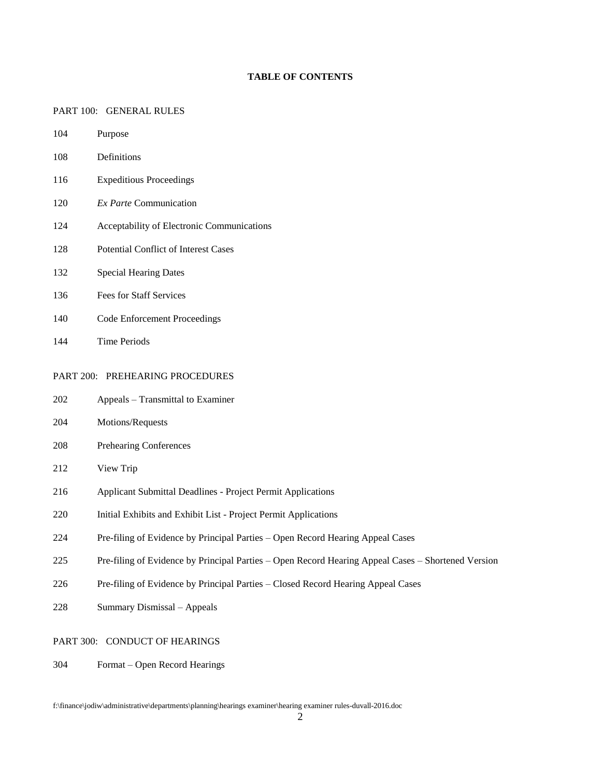#### **TABLE OF CONTENTS**

#### PART 100: GENERAL RULES

- Purpose
- Definitions
- Expeditious Proceedings
- *Ex Parte* Communication
- Acceptability of Electronic Communications
- Potential Conflict of Interest Cases
- Special Hearing Dates
- Fees for Staff Services
- Code Enforcement Proceedings
- Time Periods

#### PART 200: PREHEARING PROCEDURES

- Appeals Transmittal to Examiner
- Motions/Requests
- Prehearing Conferences
- View Trip
- Applicant Submittal Deadlines Project Permit Applications
- Initial Exhibits and Exhibit List Project Permit Applications
- Pre-filing of Evidence by Principal Parties Open Record Hearing Appeal Cases
- Pre-filing of Evidence by Principal Parties Open Record Hearing Appeal Cases Shortened Version
- Pre-filing of Evidence by Principal Parties Closed Record Hearing Appeal Cases
- Summary Dismissal Appeals

#### PART 300: CONDUCT OF HEARINGS

Format – Open Record Hearings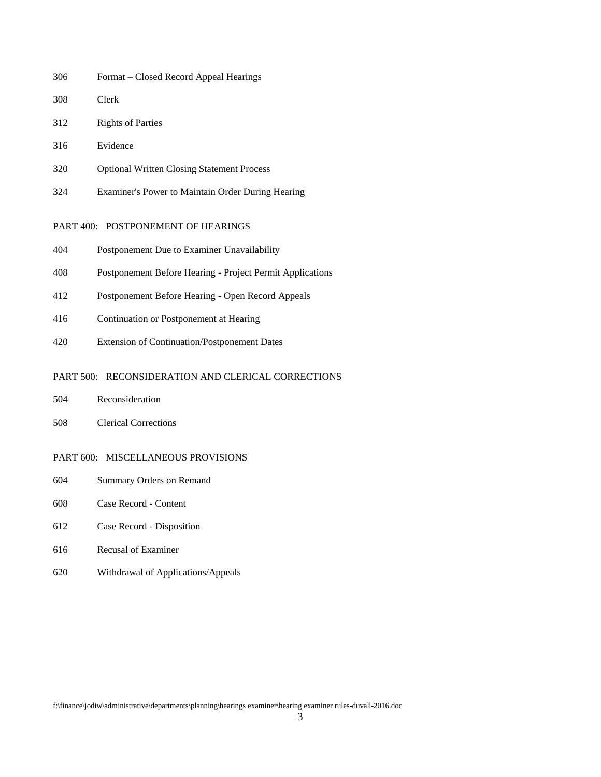- Format Closed Record Appeal Hearings
- Clerk
- Rights of Parties
- Evidence
- Optional Written Closing Statement Process
- Examiner's Power to Maintain Order During Hearing

#### PART 400: POSTPONEMENT OF HEARINGS

- Postponement Due to Examiner Unavailability
- Postponement Before Hearing Project Permit Applications
- Postponement Before Hearing Open Record Appeals
- Continuation or Postponement at Hearing
- Extension of Continuation/Postponement Dates

#### PART 500: RECONSIDERATION AND CLERICAL CORRECTIONS

- Reconsideration
- Clerical Corrections

#### PART 600: MISCELLANEOUS PROVISIONS

- Summary Orders on Remand
- Case Record Content
- Case Record Disposition
- Recusal of Examiner
- Withdrawal of Applications/Appeals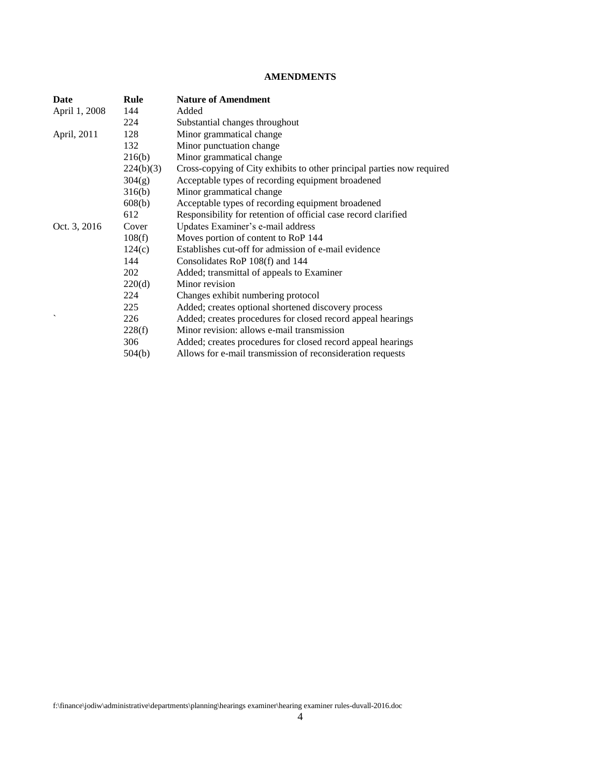#### **AMENDMENTS**

| Date                         | Rule      | <b>Nature of Amendment</b>                                             |
|------------------------------|-----------|------------------------------------------------------------------------|
| April 1, 2008                | 144       | Added                                                                  |
|                              | 224       | Substantial changes throughout                                         |
| April, 2011                  | 128       | Minor grammatical change                                               |
|                              | 132       | Minor punctuation change                                               |
|                              | 216(b)    | Minor grammatical change                                               |
|                              | 224(b)(3) | Cross-copying of City exhibits to other principal parties now required |
|                              | 304(g)    | Acceptable types of recording equipment broadened                      |
|                              | 316(b)    | Minor grammatical change                                               |
|                              | 608(b)    | Acceptable types of recording equipment broadened                      |
|                              | 612       | Responsibility for retention of official case record clarified         |
| Oct. 3, 2016<br>$\checkmark$ | Cover     | Updates Examiner's e-mail address                                      |
|                              | 108(f)    | Moves portion of content to RoP 144                                    |
|                              | 124(c)    | Establishes cut-off for admission of e-mail evidence                   |
|                              | 144       | Consolidates RoP 108(f) and 144                                        |
|                              | 202       | Added; transmittal of appeals to Examiner                              |
|                              | 220(d)    | Minor revision                                                         |
|                              | 224       | Changes exhibit numbering protocol                                     |
|                              | 225       | Added; creates optional shortened discovery process                    |
|                              | 226       | Added; creates procedures for closed record appeal hearings            |
|                              | 228(f)    | Minor revision: allows e-mail transmission                             |
|                              | 306       | Added; creates procedures for closed record appeal hearings            |
|                              | 504(b)    | Allows for e-mail transmission of reconsideration requests             |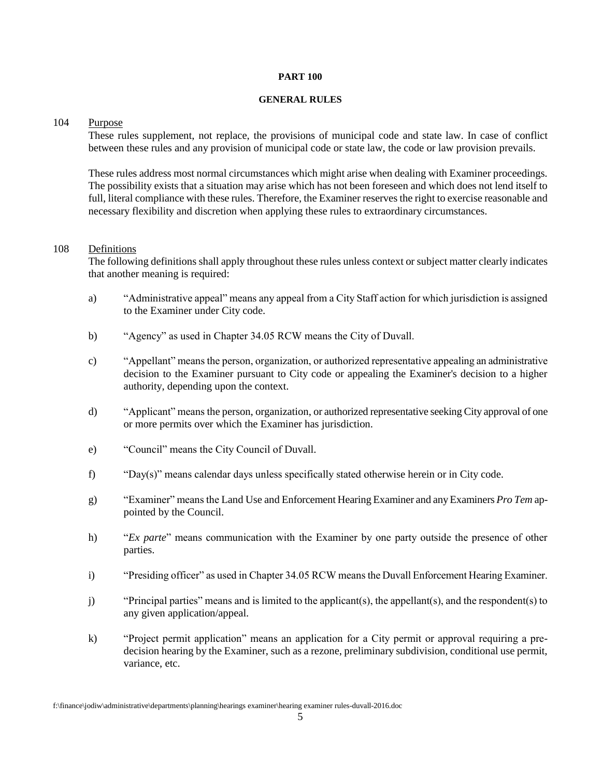#### **PART 100**

#### **GENERAL RULES**

#### 104 Purpose

These rules supplement, not replace, the provisions of municipal code and state law. In case of conflict between these rules and any provision of municipal code or state law, the code or law provision prevails.

These rules address most normal circumstances which might arise when dealing with Examiner proceedings. The possibility exists that a situation may arise which has not been foreseen and which does not lend itself to full, literal compliance with these rules. Therefore, the Examiner reserves the right to exercise reasonable and necessary flexibility and discretion when applying these rules to extraordinary circumstances.

#### 108 Definitions

The following definitions shall apply throughout these rules unless context or subject matter clearly indicates that another meaning is required:

- a) "Administrative appeal" means any appeal from a City Staff action for which jurisdiction is assigned to the Examiner under City code.
- b) "Agency" as used in Chapter 34.05 RCW means the City of Duvall.
- c) "Appellant" means the person, organization, or authorized representative appealing an administrative decision to the Examiner pursuant to City code or appealing the Examiner's decision to a higher authority, depending upon the context.
- d) "Applicant" means the person, organization, or authorized representative seeking City approval of one or more permits over which the Examiner has jurisdiction.
- e) "Council" means the City Council of Duvall.
- f) "Day(s)" means calendar days unless specifically stated otherwise herein or in City code.
- g) "Examiner" means the Land Use and Enforcement Hearing Examiner and any Examiners *Pro Tem* appointed by the Council.
- h) "*Ex parte*" means communication with the Examiner by one party outside the presence of other parties.
- i) "Presiding officer" as used in Chapter 34.05 RCW means the Duvall Enforcement Hearing Examiner.
- j) "Principal parties" means and is limited to the applicant(s), the appellant(s), and the respondent(s) to any given application/appeal.
- k) "Project permit application" means an application for a City permit or approval requiring a predecision hearing by the Examiner, such as a rezone, preliminary subdivision, conditional use permit, variance, etc.

f:\finance\jodiw\administrative\departments\planning\hearings examiner\hearing examiner rules-duvall-2016.doc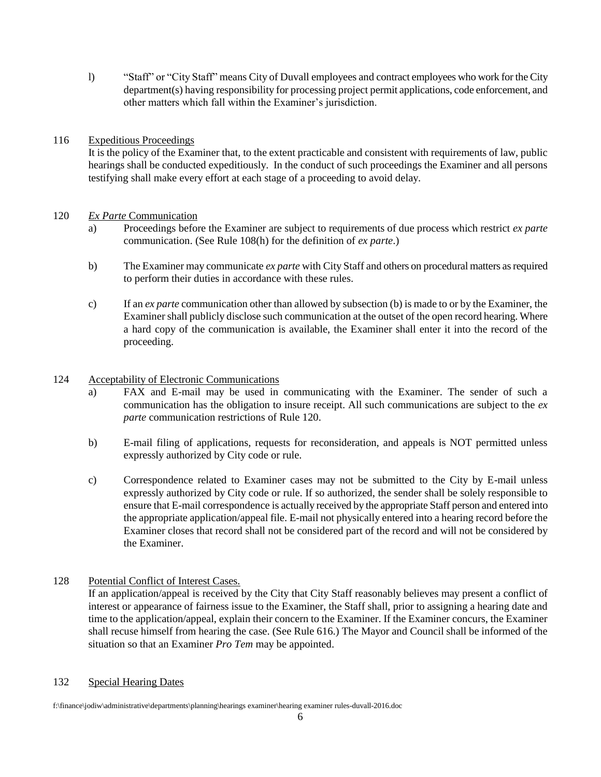l) "Staff" or "City Staff" means City of Duvall employees and contract employees who work for the City department(s) having responsibility for processing project permit applications, code enforcement, and other matters which fall within the Examiner's jurisdiction.

## 116 Expeditious Proceedings

It is the policy of the Examiner that, to the extent practicable and consistent with requirements of law, public hearings shall be conducted expeditiously. In the conduct of such proceedings the Examiner and all persons testifying shall make every effort at each stage of a proceeding to avoid delay.

#### 120 *Ex Parte* Communication

- a) Proceedings before the Examiner are subject to requirements of due process which restrict *ex parte* communication. (See Rule 108(h) for the definition of *ex parte*.)
- b) The Examiner may communicate *ex parte* with City Staff and others on procedural matters as required to perform their duties in accordance with these rules.
- c) If an *ex parte* communication other than allowed by subsection (b) is made to or by the Examiner, the Examiner shall publicly disclose such communication at the outset of the open record hearing. Where a hard copy of the communication is available, the Examiner shall enter it into the record of the proceeding.

## 124 Acceptability of Electronic Communications

- a) FAX and E-mail may be used in communicating with the Examiner. The sender of such a communication has the obligation to insure receipt. All such communications are subject to the *ex parte* communication restrictions of Rule 120.
- b) E-mail filing of applications, requests for reconsideration, and appeals is NOT permitted unless expressly authorized by City code or rule.
- c) Correspondence related to Examiner cases may not be submitted to the City by E-mail unless expressly authorized by City code or rule. If so authorized, the sender shall be solely responsible to ensure that E-mail correspondence is actually received by the appropriate Staff person and entered into the appropriate application/appeal file. E-mail not physically entered into a hearing record before the Examiner closes that record shall not be considered part of the record and will not be considered by the Examiner.

# 128 Potential Conflict of Interest Cases.

If an application/appeal is received by the City that City Staff reasonably believes may present a conflict of interest or appearance of fairness issue to the Examiner, the Staff shall, prior to assigning a hearing date and time to the application/appeal, explain their concern to the Examiner. If the Examiner concurs, the Examiner shall recuse himself from hearing the case. (See Rule 616.) The Mayor and Council shall be informed of the situation so that an Examiner *Pro Tem* may be appointed.

#### 132 Special Hearing Dates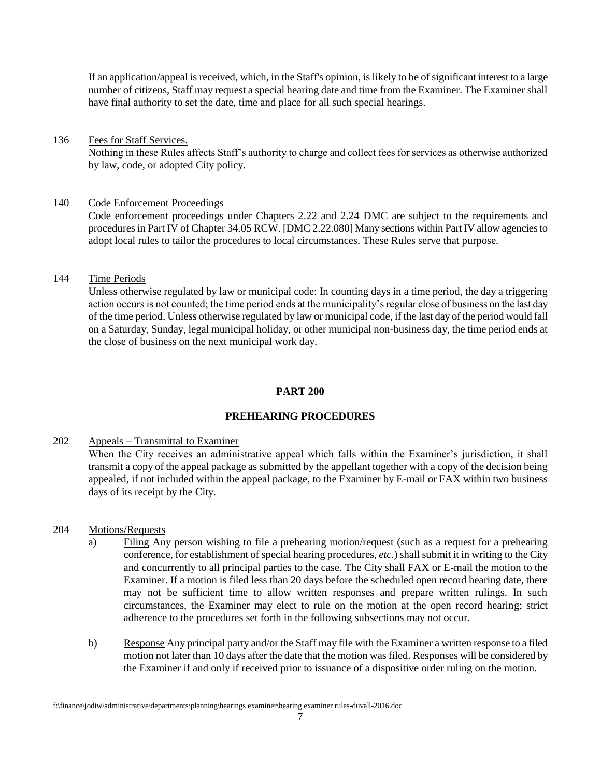If an application/appeal is received, which, in the Staff's opinion, is likely to be of significant interest to a large number of citizens, Staff may request a special hearing date and time from the Examiner. The Examiner shall have final authority to set the date, time and place for all such special hearings.

#### 136 Fees for Staff Services.

Nothing in these Rules affects Staff's authority to charge and collect fees for services as otherwise authorized by law, code, or adopted City policy.

#### 140 Code Enforcement Proceedings

Code enforcement proceedings under Chapters 2.22 and 2.24 DMC are subject to the requirements and procedures in Part IV of Chapter 34.05 RCW. [DMC 2.22.080] Many sections within Part IV allow agencies to adopt local rules to tailor the procedures to local circumstances. These Rules serve that purpose.

#### 144 Time Periods

Unless otherwise regulated by law or municipal code: In counting days in a time period, the day a triggering action occurs is not counted; the time period ends at the municipality's regular close of business on the last day of the time period. Unless otherwise regulated by law or municipal code, if the last day of the period would fall on a Saturday, Sunday, legal municipal holiday, or other municipal non-business day, the time period ends at the close of business on the next municipal work day.

#### **PART 200**

# **PREHEARING PROCEDURES**

#### 202 Appeals – Transmittal to Examiner

When the City receives an administrative appeal which falls within the Examiner's jurisdiction, it shall transmit a copy of the appeal package as submitted by the appellant together with a copy of the decision being appealed, if not included within the appeal package, to the Examiner by E-mail or FAX within two business days of its receipt by the City.

#### 204 Motions/Requests

- a) Filing Any person wishing to file a prehearing motion/request (such as a request for a prehearing conference, for establishment of special hearing procedures, *etc*.) shall submit it in writing to the City and concurrently to all principal parties to the case. The City shall FAX or E-mail the motion to the Examiner. If a motion is filed less than 20 days before the scheduled open record hearing date, there may not be sufficient time to allow written responses and prepare written rulings. In such circumstances, the Examiner may elect to rule on the motion at the open record hearing; strict adherence to the procedures set forth in the following subsections may not occur.
- b) Response Any principal party and/or the Staff may file with the Examiner a written response to a filed motion not later than 10 days after the date that the motion was filed. Responses will be considered by the Examiner if and only if received prior to issuance of a dispositive order ruling on the motion.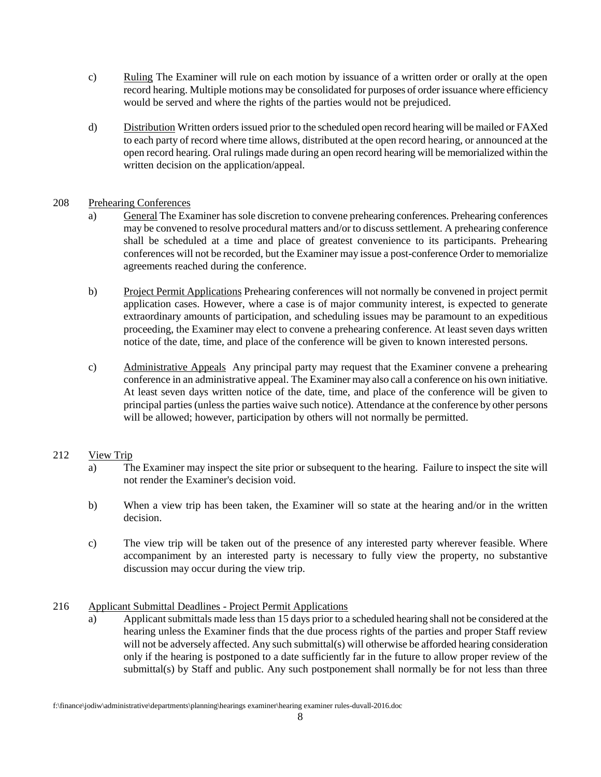- c) Ruling The Examiner will rule on each motion by issuance of a written order or orally at the open record hearing. Multiple motions may be consolidated for purposes of order issuance where efficiency would be served and where the rights of the parties would not be prejudiced.
- d) Distribution Written orders issued prior to the scheduled open record hearing will be mailed or FAXed to each party of record where time allows, distributed at the open record hearing, or announced at the open record hearing. Oral rulings made during an open record hearing will be memorialized within the written decision on the application/appeal.

## 208 Prehearing Conferences

- a) General The Examiner has sole discretion to convene prehearing conferences. Prehearing conferences may be convened to resolve procedural matters and/or to discuss settlement. A prehearing conference shall be scheduled at a time and place of greatest convenience to its participants. Prehearing conferences will not be recorded, but the Examiner may issue a post-conference Order to memorialize agreements reached during the conference.
- b) Project Permit Applications Prehearing conferences will not normally be convened in project permit application cases. However, where a case is of major community interest, is expected to generate extraordinary amounts of participation, and scheduling issues may be paramount to an expeditious proceeding, the Examiner may elect to convene a prehearing conference. At least seven days written notice of the date, time, and place of the conference will be given to known interested persons.
- c) Administrative Appeals Any principal party may request that the Examiner convene a prehearing conference in an administrative appeal. The Examiner may also call a conference on his own initiative. At least seven days written notice of the date, time, and place of the conference will be given to principal parties (unless the parties waive such notice). Attendance at the conference by other persons will be allowed; however, participation by others will not normally be permitted.

# 212 View Trip

- a) The Examiner may inspect the site prior or subsequent to the hearing. Failure to inspect the site will not render the Examiner's decision void.
- b) When a view trip has been taken, the Examiner will so state at the hearing and/or in the written decision.
- c) The view trip will be taken out of the presence of any interested party wherever feasible. Where accompaniment by an interested party is necessary to fully view the property, no substantive discussion may occur during the view trip.

# 216 Applicant Submittal Deadlines - Project Permit Applications

a) Applicant submittals made less than 15 days prior to a scheduled hearing shall not be considered at the hearing unless the Examiner finds that the due process rights of the parties and proper Staff review will not be adversely affected. Any such submittal(s) will otherwise be afforded hearing consideration only if the hearing is postponed to a date sufficiently far in the future to allow proper review of the submittal(s) by Staff and public. Any such postponement shall normally be for not less than three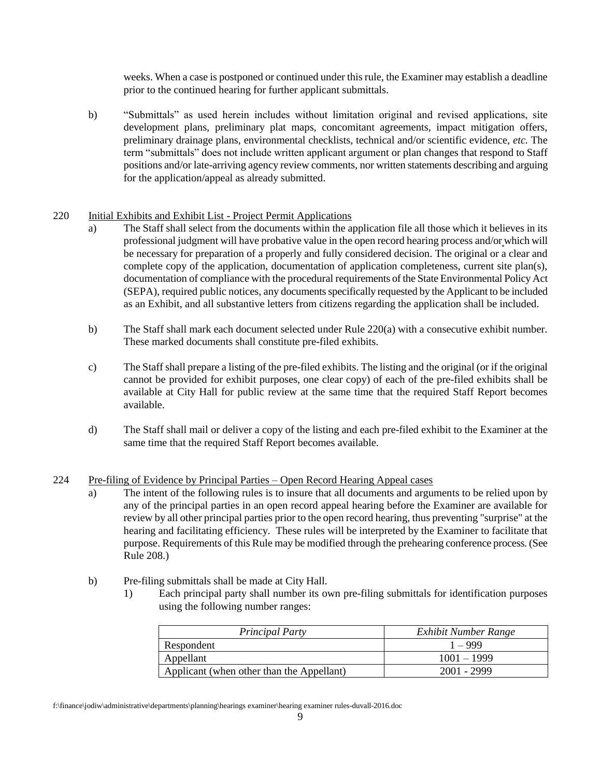weeks. When a case is postponed or continued under this rule, the Examiner may establish a deadline prior to the continued hearing for further applicant submittals.

b) "Submittals" as used herein includes without limitation original and revised applications, site development plans, preliminary plat maps, concomitant agreements, impact mitigation offers, preliminary drainage plans, environmental checklists, technical and/or scientific evidence, *etc.* The term "submittals" does not include written applicant argument or plan changes that respond to Staff positions and/or late-arriving agency review comments, nor written statements describing and arguing for the application/appeal as already submitted.

#### 220 Initial Exhibits and Exhibit List - Project Permit Applications

- a) The Staff shall select from the documents within the application file all those which it believes in its professional judgment will have probative value in the open record hearing process and/or which will be necessary for preparation of a properly and fully considered decision. The original or a clear and complete copy of the application, documentation of application completeness, current site plan(s), documentation of compliance with the procedural requirements of the State Environmental Policy Act (SEPA), required public notices, any documents specifically requested by the Applicant to be included as an Exhibit, and all substantive letters from citizens regarding the application shall be included.
- b) The Staff shall mark each document selected under Rule 220(a) with a consecutive exhibit number. These marked documents shall constitute pre-filed exhibits.
- c) The Staff shall prepare a listing of the pre-filed exhibits. The listing and the original (or if the original cannot be provided for exhibit purposes, one clear copy) of each of the pre-filed exhibits shall be available at City Hall for public review at the same time that the required Staff Report becomes available.
- d) The Staff shall mail or deliver a copy of the listing and each pre-filed exhibit to the Examiner at the same time that the required Staff Report becomes available.

#### 224 Pre-filing of Evidence by Principal Parties – Open Record Hearing Appeal cases

- a) The intent of the following rules is to insure that all documents and arguments to be relied upon by any of the principal parties in an open record appeal hearing before the Examiner are available for review by all other principal parties prior to the open record hearing, thus preventing "surprise" at the hearing and facilitating efficiency. These rules will be interpreted by the Examiner to facilitate that purpose. Requirements of this Rule may be modified through the prehearing conference process. (See Rule 208.)
- b) Pre-filing submittals shall be made at City Hall.
	- 1) Each principal party shall number its own pre-filing submittals for identification purposes using the following number ranges:

| <b>Principal Party</b>                    | Exhibit Number Range |
|-------------------------------------------|----------------------|
| Respondent                                | $1 - 999$            |
| Appellant                                 | $1001 - 1999$        |
| Applicant (when other than the Appellant) | $2001 - 2999$        |

f:\finance\jodiw\administrative\departments\planning\hearings examiner\hearing examiner rules-duvall-2016.doc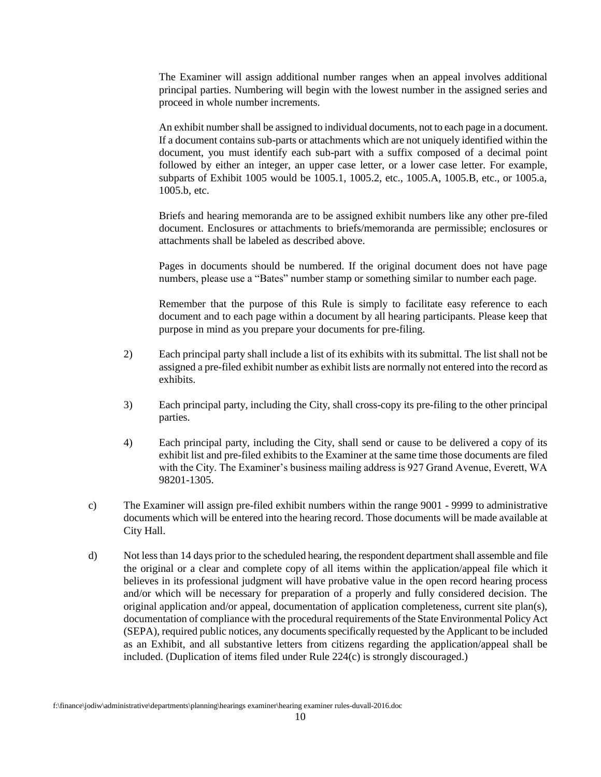The Examiner will assign additional number ranges when an appeal involves additional principal parties. Numbering will begin with the lowest number in the assigned series and proceed in whole number increments.

An exhibit number shall be assigned to individual documents, not to each page in a document. If a document contains sub-parts or attachments which are not uniquely identified within the document, you must identify each sub-part with a suffix composed of a decimal point followed by either an integer, an upper case letter, or a lower case letter. For example, subparts of Exhibit 1005 would be 1005.1, 1005.2, etc., 1005.A, 1005.B, etc., or 1005.a, 1005.b, etc.

Briefs and hearing memoranda are to be assigned exhibit numbers like any other pre-filed document. Enclosures or attachments to briefs/memoranda are permissible; enclosures or attachments shall be labeled as described above.

Pages in documents should be numbered. If the original document does not have page numbers, please use a "Bates" number stamp or something similar to number each page.

Remember that the purpose of this Rule is simply to facilitate easy reference to each document and to each page within a document by all hearing participants. Please keep that purpose in mind as you prepare your documents for pre-filing.

- 2) Each principal party shall include a list of its exhibits with its submittal. The list shall not be assigned a pre-filed exhibit number as exhibit lists are normally not entered into the record as exhibits.
- 3) Each principal party, including the City, shall cross-copy its pre-filing to the other principal parties.
- 4) Each principal party, including the City, shall send or cause to be delivered a copy of its exhibit list and pre-filed exhibits to the Examiner at the same time those documents are filed with the City. The Examiner's business mailing address is 927 Grand Avenue, Everett, WA 98201-1305.
- c) The Examiner will assign pre-filed exhibit numbers within the range 9001 9999 to administrative documents which will be entered into the hearing record. Those documents will be made available at City Hall.
- d) Not less than 14 days prior to the scheduled hearing, the respondent department shall assemble and file the original or a clear and complete copy of all items within the application/appeal file which it believes in its professional judgment will have probative value in the open record hearing process and/or which will be necessary for preparation of a properly and fully considered decision. The original application and/or appeal, documentation of application completeness, current site plan(s), documentation of compliance with the procedural requirements of the State Environmental Policy Act (SEPA), required public notices, any documents specifically requested by the Applicant to be included as an Exhibit, and all substantive letters from citizens regarding the application/appeal shall be included. (Duplication of items filed under Rule 224(c) is strongly discouraged.)

f:\finance\jodiw\administrative\departments\planning\hearings examiner\hearing examiner rules-duvall-2016.doc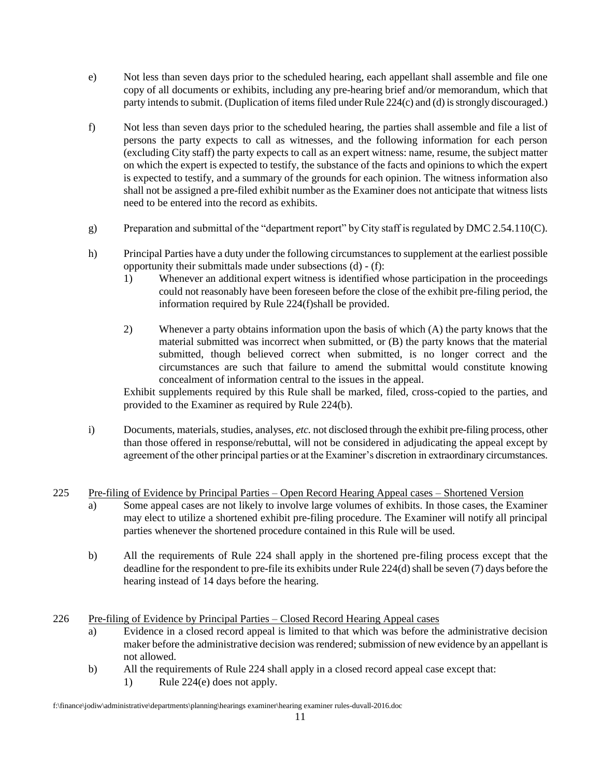- e) Not less than seven days prior to the scheduled hearing, each appellant shall assemble and file one copy of all documents or exhibits, including any pre-hearing brief and/or memorandum, which that party intends to submit. (Duplication of items filed under Rule 224(c) and (d) is strongly discouraged.)
- f) Not less than seven days prior to the scheduled hearing, the parties shall assemble and file a list of persons the party expects to call as witnesses, and the following information for each person (excluding City staff) the party expects to call as an expert witness: name, resume, the subject matter on which the expert is expected to testify, the substance of the facts and opinions to which the expert is expected to testify, and a summary of the grounds for each opinion. The witness information also shall not be assigned a pre-filed exhibit number as the Examiner does not anticipate that witness lists need to be entered into the record as exhibits.
- g) Preparation and submittal of the "department report" by City staff is regulated by DMC 2.54.110(C).
- h) Principal Parties have a duty under the following circumstances to supplement at the earliest possible opportunity their submittals made under subsections (d) - (f):
	- 1) Whenever an additional expert witness is identified whose participation in the proceedings could not reasonably have been foreseen before the close of the exhibit pre-filing period, the information required by Rule 224(f)shall be provided.
	- 2) Whenever a party obtains information upon the basis of which (A) the party knows that the material submitted was incorrect when submitted, or (B) the party knows that the material submitted, though believed correct when submitted, is no longer correct and the circumstances are such that failure to amend the submittal would constitute knowing concealment of information central to the issues in the appeal.

Exhibit supplements required by this Rule shall be marked, filed, cross-copied to the parties, and provided to the Examiner as required by Rule 224(b).

i) Documents, materials, studies, analyses, *etc.* not disclosed through the exhibit pre-filing process, other than those offered in response/rebuttal, will not be considered in adjudicating the appeal except by agreement of the other principal parties or at the Examiner's discretion in extraordinary circumstances.

#### 225 Pre-filing of Evidence by Principal Parties – Open Record Hearing Appeal cases – Shortened Version

- a) Some appeal cases are not likely to involve large volumes of exhibits. In those cases, the Examiner may elect to utilize a shortened exhibit pre-filing procedure. The Examiner will notify all principal parties whenever the shortened procedure contained in this Rule will be used.
- b) All the requirements of Rule 224 shall apply in the shortened pre-filing process except that the deadline for the respondent to pre-file its exhibits under Rule 224(d) shall be seven (7) days before the hearing instead of 14 days before the hearing.

#### 226 Pre-filing of Evidence by Principal Parties – Closed Record Hearing Appeal cases

- a) Evidence in a closed record appeal is limited to that which was before the administrative decision maker before the administrative decision was rendered; submission of new evidence by an appellant is not allowed.
- b) All the requirements of Rule 224 shall apply in a closed record appeal case except that:
	- 1) Rule 224(e) does not apply.

f:\finance\jodiw\administrative\departments\planning\hearings examiner\hearing examiner rules-duvall-2016.doc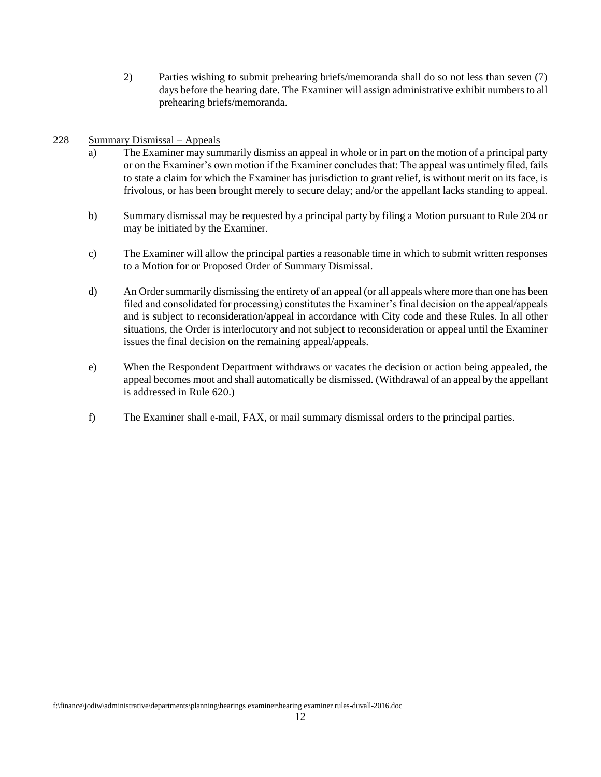2) Parties wishing to submit prehearing briefs/memoranda shall do so not less than seven (7) days before the hearing date. The Examiner will assign administrative exhibit numbers to all prehearing briefs/memoranda.

#### 228 Summary Dismissal – Appeals

- a) The Examiner may summarily dismiss an appeal in whole or in part on the motion of a principal party or on the Examiner's own motion if the Examiner concludes that: The appeal was untimely filed, fails to state a claim for which the Examiner has jurisdiction to grant relief, is without merit on its face, is frivolous, or has been brought merely to secure delay; and/or the appellant lacks standing to appeal.
- b) Summary dismissal may be requested by a principal party by filing a Motion pursuant to Rule 204 or may be initiated by the Examiner.
- c) The Examiner will allow the principal parties a reasonable time in which to submit written responses to a Motion for or Proposed Order of Summary Dismissal.
- d) An Order summarily dismissing the entirety of an appeal (or all appeals where more than one has been filed and consolidated for processing) constitutes the Examiner's final decision on the appeal/appeals and is subject to reconsideration/appeal in accordance with City code and these Rules. In all other situations, the Order is interlocutory and not subject to reconsideration or appeal until the Examiner issues the final decision on the remaining appeal/appeals.
- e) When the Respondent Department withdraws or vacates the decision or action being appealed, the appeal becomes moot and shall automatically be dismissed. (Withdrawal of an appeal by the appellant is addressed in Rule 620.)
- f) The Examiner shall e-mail, FAX, or mail summary dismissal orders to the principal parties.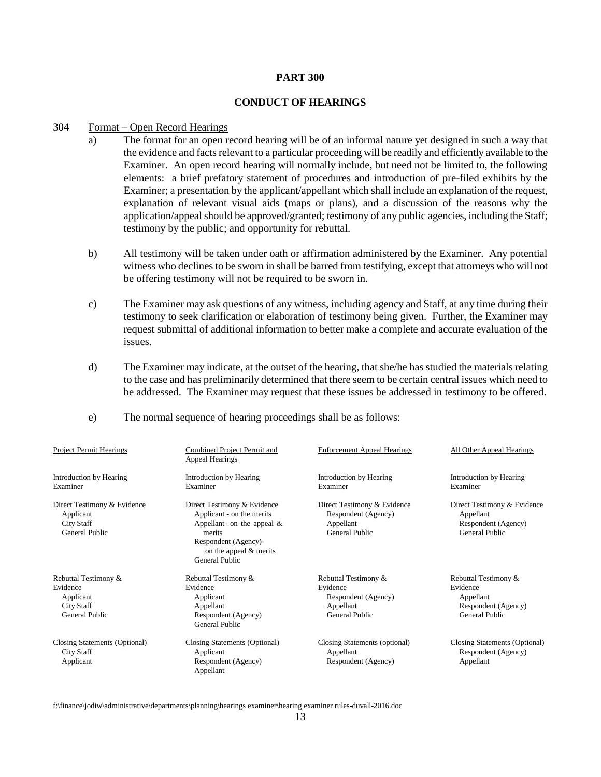#### **PART 300**

#### **CONDUCT OF HEARINGS**

#### 304 Format – Open Record Hearings

- a) The format for an open record hearing will be of an informal nature yet designed in such a way that the evidence and facts relevant to a particular proceeding will be readily and efficiently available to the Examiner. An open record hearing will normally include, but need not be limited to, the following elements: a brief prefatory statement of procedures and introduction of pre-filed exhibits by the Examiner; a presentation by the applicant/appellant which shall include an explanation of the request, explanation of relevant visual aids (maps or plans), and a discussion of the reasons why the application/appeal should be approved/granted; testimony of any public agencies, including the Staff; testimony by the public; and opportunity for rebuttal.
- b) All testimony will be taken under oath or affirmation administered by the Examiner. Any potential witness who declines to be sworn in shall be barred from testifying, except that attorneys who will not be offering testimony will not be required to be sworn in.
- c) The Examiner may ask questions of any witness, including agency and Staff, at any time during their testimony to seek clarification or elaboration of testimony being given. Further, the Examiner may request submittal of additional information to better make a complete and accurate evaluation of the issues.
- d) The Examiner may indicate, at the outset of the hearing, that she/he has studied the materials relating to the case and has preliminarily determined that there seem to be certain central issues which need to be addressed. The Examiner may request that these issues be addressed in testimony to be offered.
- e) The normal sequence of hearing proceedings shall be as follows:

| <b>Project Permit Hearings</b>                                                         | Combined Project Permit and<br><b>Appeal Hearings</b>                                                                                                                            | <b>Enforcement Appeal Hearings</b>                                                            | All Other Appeal Hearings                                                                     |
|----------------------------------------------------------------------------------------|----------------------------------------------------------------------------------------------------------------------------------------------------------------------------------|-----------------------------------------------------------------------------------------------|-----------------------------------------------------------------------------------------------|
| Introduction by Hearing<br>Examiner                                                    | Introduction by Hearing<br>Examiner                                                                                                                                              | Introduction by Hearing<br>Examiner                                                           | Introduction by Hearing<br>Examiner                                                           |
| Direct Testimony & Evidence<br>Applicant<br><b>City Staff</b><br><b>General Public</b> | Direct Testimony & Evidence<br>Applicant - on the merits<br>Appellant- on the appeal $\&$<br>merits<br>Respondent (Agency)-<br>on the appeal $&$ merits<br><b>General Public</b> | Direct Testimony & Evidence<br>Respondent (Agency)<br>Appellant<br><b>General Public</b>      | Direct Testimony & Evidence<br>Appellant<br>Respondent (Agency)<br><b>General Public</b>      |
| Rebuttal Testimony &<br>Evidence<br>Applicant<br>City Staff<br><b>General Public</b>   | Rebuttal Testimony &<br>Evidence<br>Applicant<br>Appellant<br>Respondent (Agency)<br><b>General Public</b>                                                                       | Rebuttal Testimony &<br>Evidence<br>Respondent (Agency)<br>Appellant<br><b>General Public</b> | Rebuttal Testimony &<br>Evidence<br>Appellant<br>Respondent (Agency)<br><b>General Public</b> |
| Closing Statements (Optional)<br>City Staff<br>Applicant                               | Closing Statements (Optional)<br>Applicant<br>Respondent (Agency)<br>Appellant                                                                                                   | Closing Statements (optional)<br>Appellant<br>Respondent (Agency)                             | Closing Statements (Optional)<br>Respondent (Agency)<br>Appellant                             |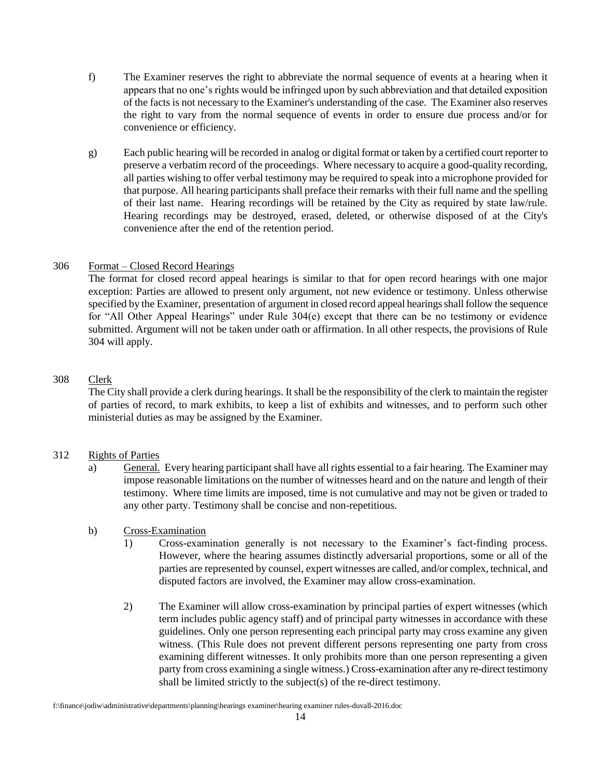- f) The Examiner reserves the right to abbreviate the normal sequence of events at a hearing when it appears that no one's rights would be infringed upon by such abbreviation and that detailed exposition of the facts is not necessary to the Examiner's understanding of the case. The Examiner also reserves the right to vary from the normal sequence of events in order to ensure due process and/or for convenience or efficiency.
- g) Each public hearing will be recorded in analog or digital format or taken by a certified court reporter to preserve a verbatim record of the proceedings. Where necessary to acquire a good-quality recording, all parties wishing to offer verbal testimony may be required to speak into a microphone provided for that purpose. All hearing participants shall preface their remarks with their full name and the spelling of their last name. Hearing recordings will be retained by the City as required by state law/rule. Hearing recordings may be destroyed, erased, deleted, or otherwise disposed of at the City's convenience after the end of the retention period.

#### 306 Format – Closed Record Hearings

The format for closed record appeal hearings is similar to that for open record hearings with one major exception: Parties are allowed to present only argument, not new evidence or testimony. Unless otherwise specified by the Examiner, presentation of argument in closed record appeal hearings shall follow the sequence for "All Other Appeal Hearings" under Rule 304(e) except that there can be no testimony or evidence submitted. Argument will not be taken under oath or affirmation. In all other respects, the provisions of Rule 304 will apply.

## 308 Clerk

The City shall provide a clerk during hearings. It shall be the responsibility of the clerk to maintain the register of parties of record, to mark exhibits, to keep a list of exhibits and witnesses, and to perform such other ministerial duties as may be assigned by the Examiner.

## 312 Rights of Parties

a) General. Every hearing participant shall have all rights essential to a fair hearing. The Examiner may impose reasonable limitations on the number of witnesses heard and on the nature and length of their testimony. Where time limits are imposed, time is not cumulative and may not be given or traded to any other party. Testimony shall be concise and non-repetitious.

#### b) Cross-Examination

- 1) Cross-examination generally is not necessary to the Examiner's fact-finding process. However, where the hearing assumes distinctly adversarial proportions, some or all of the parties are represented by counsel, expert witnesses are called, and/or complex, technical, and disputed factors are involved, the Examiner may allow cross-examination.
- 2) The Examiner will allow cross-examination by principal parties of expert witnesses (which term includes public agency staff) and of principal party witnesses in accordance with these guidelines. Only one person representing each principal party may cross examine any given witness. (This Rule does not prevent different persons representing one party from cross examining different witnesses. It only prohibits more than one person representing a given party from cross examining a single witness.) Cross-examination after any re-direct testimony shall be limited strictly to the subject(s) of the re-direct testimony.

f:\finance\jodiw\administrative\departments\planning\hearings examiner\hearing examiner rules-duvall-2016.doc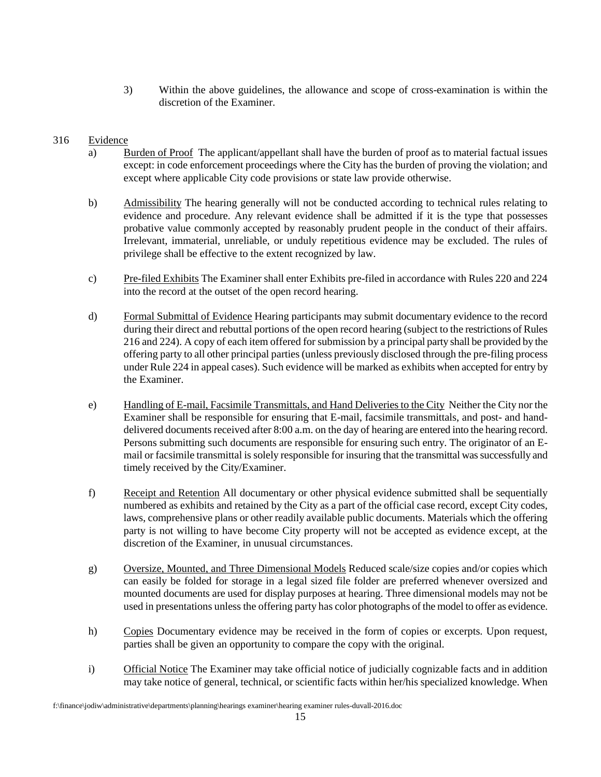3) Within the above guidelines, the allowance and scope of cross-examination is within the discretion of the Examiner.

# 316 Evidence

- a) Burden of Proof The applicant/appellant shall have the burden of proof as to material factual issues except: in code enforcement proceedings where the City has the burden of proving the violation; and except where applicable City code provisions or state law provide otherwise.
- b) Admissibility The hearing generally will not be conducted according to technical rules relating to evidence and procedure. Any relevant evidence shall be admitted if it is the type that possesses probative value commonly accepted by reasonably prudent people in the conduct of their affairs. Irrelevant, immaterial, unreliable, or unduly repetitious evidence may be excluded. The rules of privilege shall be effective to the extent recognized by law.
- c) Pre-filed Exhibits The Examiner shall enter Exhibits pre-filed in accordance with Rules 220 and 224 into the record at the outset of the open record hearing.
- d) Formal Submittal of Evidence Hearing participants may submit documentary evidence to the record during their direct and rebuttal portions of the open record hearing (subject to the restrictions of Rules 216 and 224). A copy of each item offered for submission by a principal party shall be provided by the offering party to all other principal parties (unless previously disclosed through the pre-filing process under Rule 224 in appeal cases). Such evidence will be marked as exhibits when accepted for entry by the Examiner.
- e) Handling of E-mail, Facsimile Transmittals, and Hand Deliveries to the City Neither the City nor the Examiner shall be responsible for ensuring that E-mail, facsimile transmittals, and post- and handdelivered documents received after 8:00 a.m. on the day of hearing are entered into the hearing record. Persons submitting such documents are responsible for ensuring such entry. The originator of an Email or facsimile transmittal is solely responsible for insuring that the transmittal was successfully and timely received by the City/Examiner.
- f) Receipt and Retention All documentary or other physical evidence submitted shall be sequentially numbered as exhibits and retained by the City as a part of the official case record, except City codes, laws, comprehensive plans or other readily available public documents. Materials which the offering party is not willing to have become City property will not be accepted as evidence except, at the discretion of the Examiner, in unusual circumstances.
- g) Oversize, Mounted, and Three Dimensional Models Reduced scale/size copies and/or copies which can easily be folded for storage in a legal sized file folder are preferred whenever oversized and mounted documents are used for display purposes at hearing. Three dimensional models may not be used in presentations unless the offering party has color photographs of the model to offer as evidence.
- h) Copies Documentary evidence may be received in the form of copies or excerpts. Upon request, parties shall be given an opportunity to compare the copy with the original.
- i) Official Notice The Examiner may take official notice of judicially cognizable facts and in addition may take notice of general, technical, or scientific facts within her/his specialized knowledge. When

f:\finance\jodiw\administrative\departments\planning\hearings examiner\hearing examiner rules-duvall-2016.doc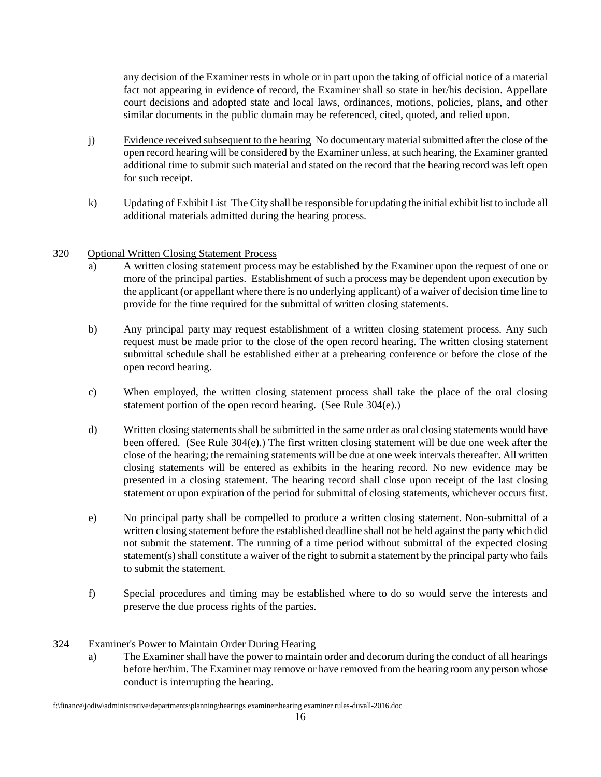any decision of the Examiner rests in whole or in part upon the taking of official notice of a material fact not appearing in evidence of record, the Examiner shall so state in her/his decision. Appellate court decisions and adopted state and local laws, ordinances, motions, policies, plans, and other similar documents in the public domain may be referenced, cited, quoted, and relied upon.

- j) Evidence received subsequent to the hearing No documentary material submitted after the close of the open record hearing will be considered by the Examiner unless, at such hearing, the Examiner granted additional time to submit such material and stated on the record that the hearing record was left open for such receipt.
- k) Updating of Exhibit List The City shall be responsible for updating the initial exhibit list to include all additional materials admitted during the hearing process.

# 320 Optional Written Closing Statement Process

- a) A written closing statement process may be established by the Examiner upon the request of one or more of the principal parties. Establishment of such a process may be dependent upon execution by the applicant (or appellant where there is no underlying applicant) of a waiver of decision time line to provide for the time required for the submittal of written closing statements.
- b) Any principal party may request establishment of a written closing statement process. Any such request must be made prior to the close of the open record hearing. The written closing statement submittal schedule shall be established either at a prehearing conference or before the close of the open record hearing.
- c) When employed, the written closing statement process shall take the place of the oral closing statement portion of the open record hearing. (See Rule 304(e).)
- d) Written closing statements shall be submitted in the same order as oral closing statements would have been offered. (See Rule 304(e).) The first written closing statement will be due one week after the close of the hearing; the remaining statements will be due at one week intervals thereafter. All written closing statements will be entered as exhibits in the hearing record. No new evidence may be presented in a closing statement. The hearing record shall close upon receipt of the last closing statement or upon expiration of the period for submittal of closing statements, whichever occurs first.
- e) No principal party shall be compelled to produce a written closing statement. Non-submittal of a written closing statement before the established deadline shall not be held against the party which did not submit the statement. The running of a time period without submittal of the expected closing statement(s) shall constitute a waiver of the right to submit a statement by the principal party who fails to submit the statement.
- f) Special procedures and timing may be established where to do so would serve the interests and preserve the due process rights of the parties.

#### 324 Examiner's Power to Maintain Order During Hearing

a) The Examiner shall have the power to maintain order and decorum during the conduct of all hearings before her/him. The Examiner may remove or have removed from the hearing room any person whose conduct is interrupting the hearing.

f:\finance\jodiw\administrative\departments\planning\hearings examiner\hearing examiner rules-duvall-2016.doc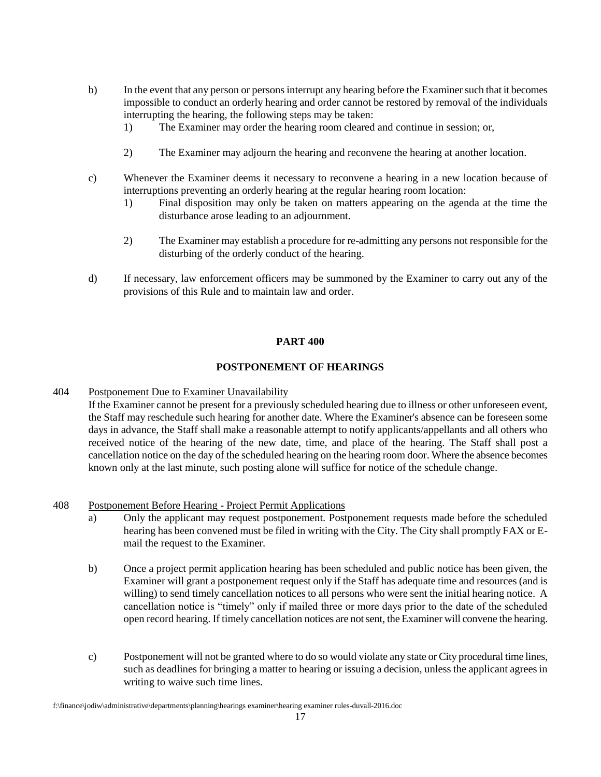- b) In the event that any person or persons interrupt any hearing before the Examiner such that it becomes impossible to conduct an orderly hearing and order cannot be restored by removal of the individuals interrupting the hearing, the following steps may be taken:
	- 1) The Examiner may order the hearing room cleared and continue in session; or,
	- 2) The Examiner may adjourn the hearing and reconvene the hearing at another location.
- c) Whenever the Examiner deems it necessary to reconvene a hearing in a new location because of interruptions preventing an orderly hearing at the regular hearing room location:
	- 1) Final disposition may only be taken on matters appearing on the agenda at the time the disturbance arose leading to an adjournment.
	- 2) The Examiner may establish a procedure for re-admitting any persons not responsible for the disturbing of the orderly conduct of the hearing.
- d) If necessary, law enforcement officers may be summoned by the Examiner to carry out any of the provisions of this Rule and to maintain law and order.

## **PART 400**

## **POSTPONEMENT OF HEARINGS**

404 Postponement Due to Examiner Unavailability

If the Examiner cannot be present for a previously scheduled hearing due to illness or other unforeseen event, the Staff may reschedule such hearing for another date. Where the Examiner's absence can be foreseen some days in advance, the Staff shall make a reasonable attempt to notify applicants/appellants and all others who received notice of the hearing of the new date, time, and place of the hearing. The Staff shall post a cancellation notice on the day of the scheduled hearing on the hearing room door. Where the absence becomes known only at the last minute, such posting alone will suffice for notice of the schedule change.

#### 408 Postponement Before Hearing - Project Permit Applications

- a) Only the applicant may request postponement. Postponement requests made before the scheduled hearing has been convened must be filed in writing with the City. The City shall promptly FAX or Email the request to the Examiner.
- b) Once a project permit application hearing has been scheduled and public notice has been given, the Examiner will grant a postponement request only if the Staff has adequate time and resources (and is willing) to send timely cancellation notices to all persons who were sent the initial hearing notice. A cancellation notice is "timely" only if mailed three or more days prior to the date of the scheduled open record hearing. If timely cancellation notices are not sent, the Examiner will convene the hearing.
- c) Postponement will not be granted where to do so would violate any state or City procedural time lines, such as deadlines for bringing a matter to hearing or issuing a decision, unless the applicant agrees in writing to waive such time lines.

f:\finance\jodiw\administrative\departments\planning\hearings examiner\hearing examiner rules-duvall-2016.doc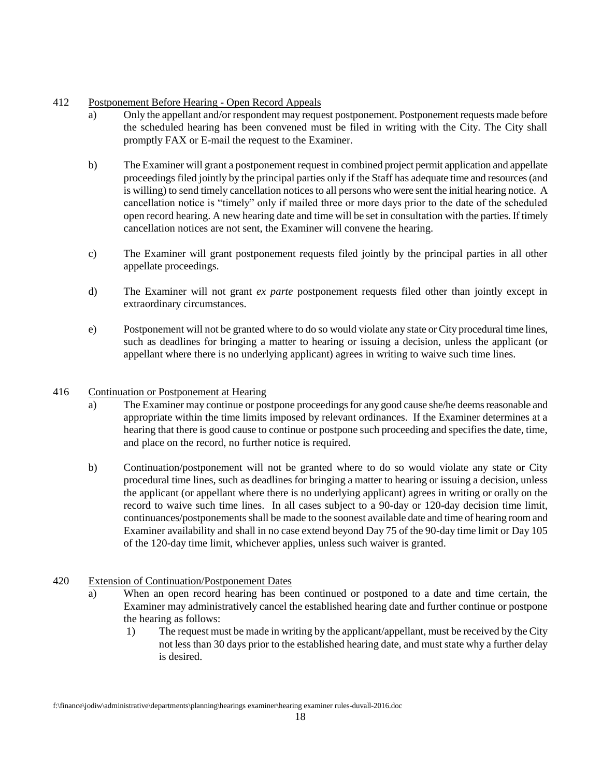## 412 Postponement Before Hearing - Open Record Appeals

- a) Only the appellant and/or respondent may request postponement. Postponement requests made before the scheduled hearing has been convened must be filed in writing with the City. The City shall promptly FAX or E-mail the request to the Examiner.
- b) The Examiner will grant a postponement request in combined project permit application and appellate proceedings filed jointly by the principal parties only if the Staff has adequate time and resources (and is willing) to send timely cancellation notices to all persons who were sent the initial hearing notice. A cancellation notice is "timely" only if mailed three or more days prior to the date of the scheduled open record hearing. A new hearing date and time will be set in consultation with the parties. If timely cancellation notices are not sent, the Examiner will convene the hearing.
- c) The Examiner will grant postponement requests filed jointly by the principal parties in all other appellate proceedings.
- d) The Examiner will not grant *ex parte* postponement requests filed other than jointly except in extraordinary circumstances.
- e) Postponement will not be granted where to do so would violate any state or City procedural time lines, such as deadlines for bringing a matter to hearing or issuing a decision, unless the applicant (or appellant where there is no underlying applicant) agrees in writing to waive such time lines.

#### 416 Continuation or Postponement at Hearing

- a) The Examiner may continue or postpone proceedings for any good cause she/he deems reasonable and appropriate within the time limits imposed by relevant ordinances. If the Examiner determines at a hearing that there is good cause to continue or postpone such proceeding and specifies the date, time, and place on the record, no further notice is required.
- b) Continuation/postponement will not be granted where to do so would violate any state or City procedural time lines, such as deadlines for bringing a matter to hearing or issuing a decision, unless the applicant (or appellant where there is no underlying applicant) agrees in writing or orally on the record to waive such time lines. In all cases subject to a 90-day or 120-day decision time limit, continuances/postponements shall be made to the soonest available date and time of hearing room and Examiner availability and shall in no case extend beyond Day 75 of the 90-day time limit or Day 105 of the 120-day time limit, whichever applies, unless such waiver is granted.
- 420 Extension of Continuation/Postponement Dates
	- a) When an open record hearing has been continued or postponed to a date and time certain, the Examiner may administratively cancel the established hearing date and further continue or postpone the hearing as follows:
		- 1) The request must be made in writing by the applicant/appellant, must be received by the City not less than 30 days prior to the established hearing date, and must state why a further delay is desired.

f:\finance\jodiw\administrative\departments\planning\hearings examiner\hearing examiner rules-duvall-2016.doc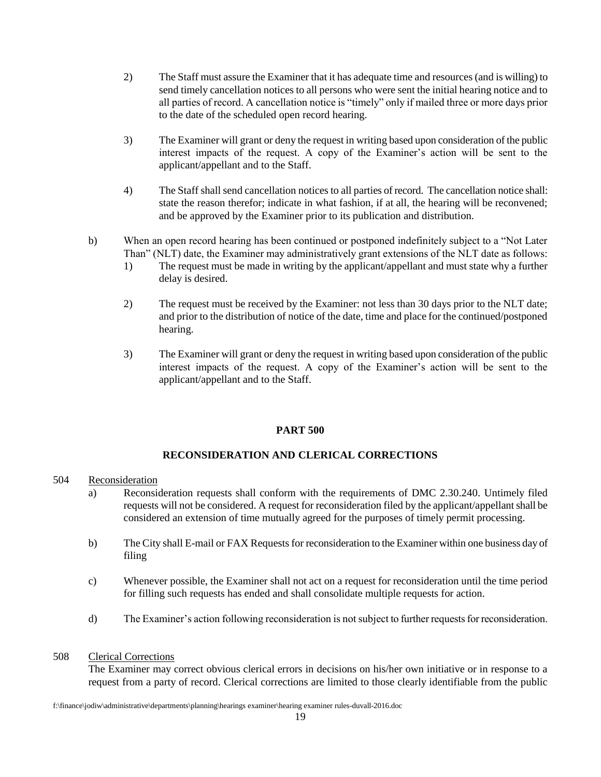- 2) The Staff must assure the Examiner that it has adequate time and resources (and is willing) to send timely cancellation notices to all persons who were sent the initial hearing notice and to all parties of record. A cancellation notice is "timely" only if mailed three or more days prior to the date of the scheduled open record hearing.
- 3) The Examiner will grant or deny the request in writing based upon consideration of the public interest impacts of the request. A copy of the Examiner's action will be sent to the applicant/appellant and to the Staff.
- 4) The Staff shall send cancellation notices to all parties of record. The cancellation notice shall: state the reason therefor; indicate in what fashion, if at all, the hearing will be reconvened; and be approved by the Examiner prior to its publication and distribution.
- b) When an open record hearing has been continued or postponed indefinitely subject to a "Not Later Than" (NLT) date, the Examiner may administratively grant extensions of the NLT date as follows:
	- 1) The request must be made in writing by the applicant/appellant and must state why a further delay is desired.
	- 2) The request must be received by the Examiner: not less than 30 days prior to the NLT date; and prior to the distribution of notice of the date, time and place for the continued/postponed hearing.
	- 3) The Examiner will grant or deny the request in writing based upon consideration of the public interest impacts of the request. A copy of the Examiner's action will be sent to the applicant/appellant and to the Staff.

#### **PART 500**

# **RECONSIDERATION AND CLERICAL CORRECTIONS**

#### 504 Reconsideration

- a) Reconsideration requests shall conform with the requirements of DMC 2.30.240. Untimely filed requests will not be considered. A request for reconsideration filed by the applicant/appellant shall be considered an extension of time mutually agreed for the purposes of timely permit processing.
- b) The City shall E-mail or FAX Requests for reconsideration to the Examiner within one business day of filing
- c) Whenever possible, the Examiner shall not act on a request for reconsideration until the time period for filling such requests has ended and shall consolidate multiple requests for action.
- d) The Examiner's action following reconsideration is not subject to further requests for reconsideration.

#### 508 Clerical Corrections

The Examiner may correct obvious clerical errors in decisions on his/her own initiative or in response to a request from a party of record. Clerical corrections are limited to those clearly identifiable from the public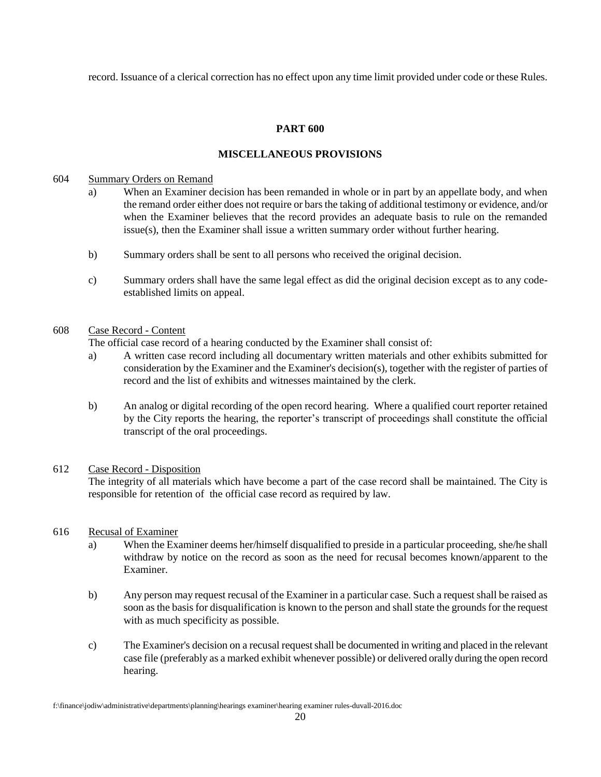record. Issuance of a clerical correction has no effect upon any time limit provided under code or these Rules.

## **PART 600**

# **MISCELLANEOUS PROVISIONS**

#### 604 Summary Orders on Remand

- a) When an Examiner decision has been remanded in whole or in part by an appellate body, and when the remand order either does not require or bars the taking of additional testimony or evidence, and/or when the Examiner believes that the record provides an adequate basis to rule on the remanded  $is  $(s)$ , then the Examiner shall issue a written summary order without further hearing.$
- b) Summary orders shall be sent to all persons who received the original decision.
- c) Summary orders shall have the same legal effect as did the original decision except as to any codeestablished limits on appeal.

#### 608 Case Record - Content

The official case record of a hearing conducted by the Examiner shall consist of:

- a) A written case record including all documentary written materials and other exhibits submitted for consideration by the Examiner and the Examiner's decision(s), together with the register of parties of record and the list of exhibits and witnesses maintained by the clerk.
- b) An analog or digital recording of the open record hearing. Where a qualified court reporter retained by the City reports the hearing, the reporter's transcript of proceedings shall constitute the official transcript of the oral proceedings.

#### 612 Case Record - Disposition

The integrity of all materials which have become a part of the case record shall be maintained. The City is responsible for retention of the official case record as required by law.

#### 616 Recusal of Examiner

- a) When the Examiner deems her/himself disqualified to preside in a particular proceeding, she/he shall withdraw by notice on the record as soon as the need for recusal becomes known/apparent to the Examiner.
- b) Any person may request recusal of the Examiner in a particular case. Such a request shall be raised as soon as the basis for disqualification is known to the person and shall state the grounds for the request with as much specificity as possible.
- c) The Examiner's decision on a recusal request shall be documented in writing and placed in the relevant case file (preferably as a marked exhibit whenever possible) or delivered orally during the open record hearing.

f:\finance\jodiw\administrative\departments\planning\hearings examiner\hearing examiner rules-duvall-2016.doc